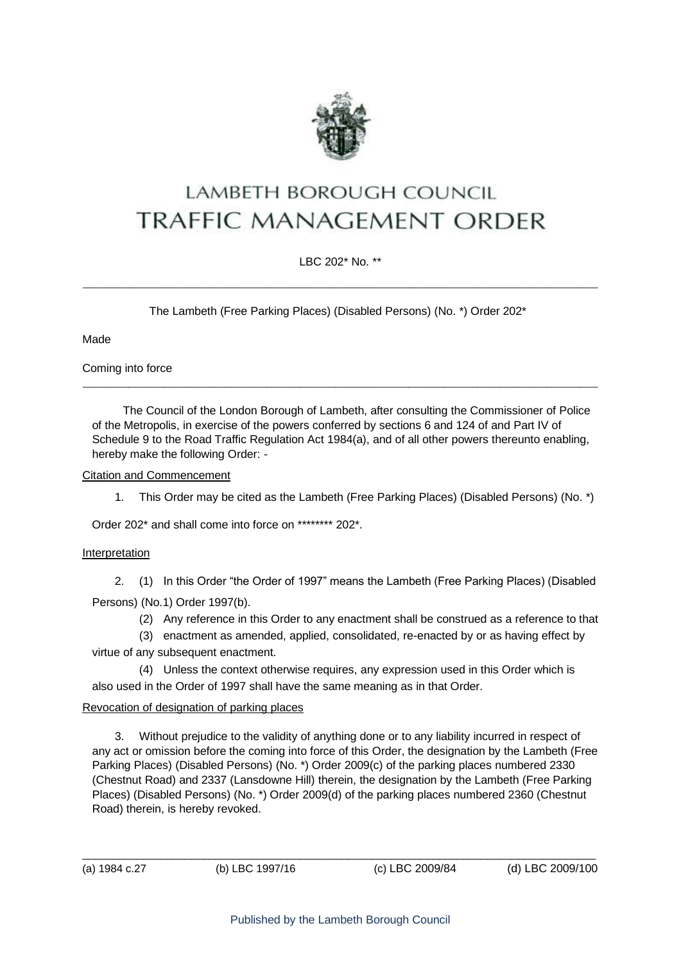

# LAMBETH BOROUGH COUNCIL **TRAFFIC MANAGEMENT ORDER**

LBC 202\* No. \*\*  $\_$  ,  $\_$  ,  $\_$  ,  $\_$  ,  $\_$  ,  $\_$  ,  $\_$  ,  $\_$  ,  $\_$  ,  $\_$  ,  $\_$  ,  $\_$  ,  $\_$  ,  $\_$  ,  $\_$  ,  $\_$  ,  $\_$  ,  $\_$  ,  $\_$  ,  $\_$  ,  $\_$  ,  $\_$  ,  $\_$  ,  $\_$  ,  $\_$  ,  $\_$  ,  $\_$  ,  $\_$  ,  $\_$  ,  $\_$  ,  $\_$  ,  $\_$  ,  $\_$  ,  $\_$  ,  $\_$  ,  $\_$  ,  $\_$  ,

The Lambeth (Free Parking Places) (Disabled Persons) (No. \*) Order 202\*

Made

Coming into force

The Council of the London Borough of Lambeth, after consulting the Commissioner of Police of the Metropolis, in exercise of the powers conferred by sections 6 and 124 of and Part IV of Schedule 9 to the Road Traffic Regulation Act 1984(a), and of all other powers thereunto enabling, hereby make the following Order: -

 $\_$  ,  $\_$  ,  $\_$  ,  $\_$  ,  $\_$  ,  $\_$  ,  $\_$  ,  $\_$  ,  $\_$  ,  $\_$  ,  $\_$  ,  $\_$  ,  $\_$  ,  $\_$  ,  $\_$  ,  $\_$  ,  $\_$  ,  $\_$  ,  $\_$  ,  $\_$  ,  $\_$  ,  $\_$  ,  $\_$  ,  $\_$  ,  $\_$  ,  $\_$  ,  $\_$  ,  $\_$  ,  $\_$  ,  $\_$  ,  $\_$  ,  $\_$  ,  $\_$  ,  $\_$  ,  $\_$  ,  $\_$  ,  $\_$  ,

### Citation and Commencement

1. This Order may be cited as the Lambeth (Free Parking Places) (Disabled Persons) (No. \*)

Order 202\* and shall come into force on \*\*\*\*\*\*\*\* 202\*.

## **Interpretation**

2. (1) In this Order "the Order of 1997" means the Lambeth (Free Parking Places) (Disabled Persons) (No.1) Order 1997(b).

(2) Any reference in this Order to any enactment shall be construed as a reference to that

(3) enactment as amended, applied, consolidated, re-enacted by or as having effect by virtue of any subsequent enactment.

(4) Unless the context otherwise requires, any expression used in this Order which is also used in the Order of 1997 shall have the same meaning as in that Order.

## Revocation of designation of parking places

3. Without prejudice to the validity of anything done or to any liability incurred in respect of any act or omission before the coming into force of this Order, the designation by the Lambeth (Free Parking Places) (Disabled Persons) (No. \*) Order 2009(c) of the parking places numbered 2330 (Chestnut Road) and 2337 (Lansdowne Hill) therein, the designation by the Lambeth (Free Parking Places) (Disabled Persons) (No. \*) Order 2009(d) of the parking places numbered 2360 (Chestnut Road) therein, is hereby revoked.

 $\_$  ,  $\_$  ,  $\_$  ,  $\_$  ,  $\_$  ,  $\_$  ,  $\_$  ,  $\_$  ,  $\_$  ,  $\_$  ,  $\_$  ,  $\_$  ,  $\_$  ,  $\_$  ,  $\_$  ,  $\_$  ,  $\_$  ,  $\_$  ,  $\_$  ,  $\_$  ,  $\_$  ,  $\_$  ,  $\_$  ,  $\_$  ,  $\_$  ,  $\_$  ,  $\_$  ,  $\_$  ,  $\_$  ,  $\_$  ,  $\_$  ,  $\_$  ,  $\_$  ,  $\_$  ,  $\_$  ,  $\_$  ,  $\_$  ,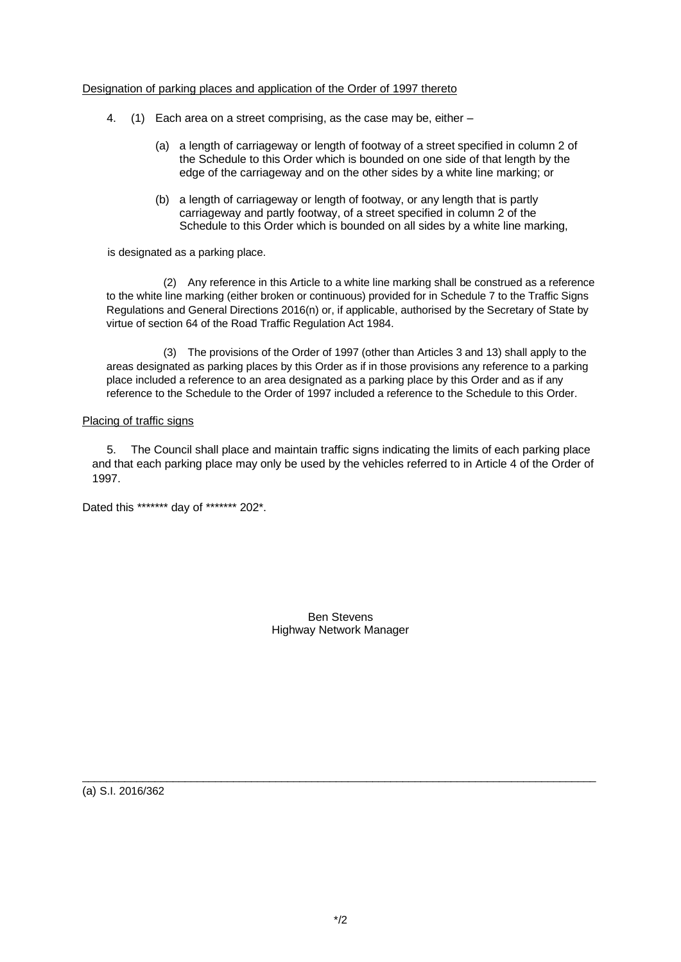#### Designation of parking places and application of the Order of 1997 thereto

- 4. (1) Each area on a street comprising, as the case may be, either
	- (a) a length of carriageway or length of footway of a street specified in column 2 of the Schedule to this Order which is bounded on one side of that length by the edge of the carriageway and on the other sides by a white line marking; or
	- (b) a length of carriageway or length of footway, or any length that is partly carriageway and partly footway, of a street specified in column 2 of the Schedule to this Order which is bounded on all sides by a white line marking,

is designated as a parking place.

(2) Any reference in this Article to a white line marking shall be construed as a reference to the white line marking (either broken or continuous) provided for in Schedule 7 to the Traffic Signs Regulations and General Directions 2016(n) or, if applicable, authorised by the Secretary of State by virtue of section 64 of the Road Traffic Regulation Act 1984.

(3) The provisions of the Order of 1997 (other than Articles 3 and 13) shall apply to the areas designated as parking places by this Order as if in those provisions any reference to a parking place included a reference to an area designated as a parking place by this Order and as if any reference to the Schedule to the Order of 1997 included a reference to the Schedule to this Order.

#### Placing of traffic signs

5. The Council shall place and maintain traffic signs indicating the limits of each parking place and that each parking place may only be used by the vehicles referred to in Article 4 of the Order of 1997.

Dated this \*\*\*\*\*\*\* day of \*\*\*\*\*\*\* 202\*.

Ben Stevens Highway Network Manager

(a) S.I. 2016/362

 $\_$  ,  $\_$  ,  $\_$  ,  $\_$  ,  $\_$  ,  $\_$  ,  $\_$  ,  $\_$  ,  $\_$  ,  $\_$  ,  $\_$  ,  $\_$  ,  $\_$  ,  $\_$  ,  $\_$  ,  $\_$  ,  $\_$  ,  $\_$  ,  $\_$  ,  $\_$  ,  $\_$  ,  $\_$  ,  $\_$  ,  $\_$  ,  $\_$  ,  $\_$  ,  $\_$  ,  $\_$  ,  $\_$  ,  $\_$  ,  $\_$  ,  $\_$  ,  $\_$  ,  $\_$  ,  $\_$  ,  $\_$  ,  $\_$  ,